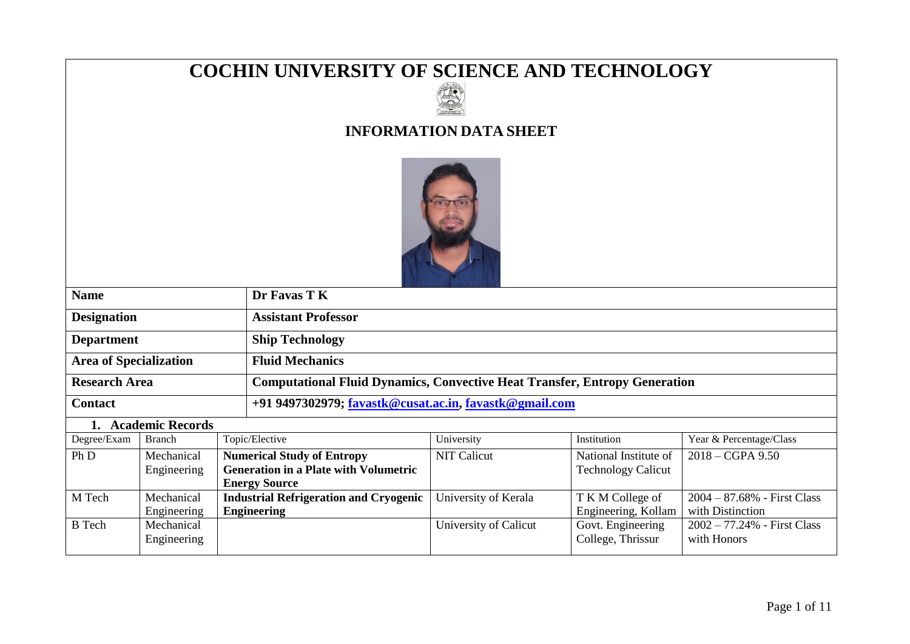# **COCHIN UNIVERSITY OF SCIENCE AND TECHNOLOGY**



# **INFORMATION DATA SHEET**



| <b>Name</b>                   | Dr Favas T K                                                                      |
|-------------------------------|-----------------------------------------------------------------------------------|
| <b>Designation</b>            | <b>Assistant Professor</b>                                                        |
| <b>Department</b>             | <b>Ship Technology</b>                                                            |
| <b>Area of Specialization</b> | <b>Fluid Mechanics</b>                                                            |
| <b>Research Area</b>          | <b>Computational Fluid Dynamics, Convective Heat Transfer, Entropy Generation</b> |
| <b>Contact</b>                | +91 9497302979; favastk@cusat.ac.in, favastk@gmail.com                            |
|                               |                                                                                   |

### **1. Academic Records**

| Degree/Exam   | <b>Branch</b> | Topic/Elective                                | University            | Institution               | Year & Percentage/Class        |
|---------------|---------------|-----------------------------------------------|-----------------------|---------------------------|--------------------------------|
| Ph D          | Mechanical    | <b>Numerical Study of Entropy</b>             | <b>NIT Calicut</b>    | National Institute of     | $2018 - CGPA$ 9.50             |
|               | Engineering   | <b>Generation in a Plate with Volumetric</b>  |                       | <b>Technology Calicut</b> |                                |
|               |               | <b>Energy Source</b>                          |                       |                           |                                |
| M Tech        | Mechanical    | <b>Industrial Refrigeration and Cryogenic</b> | University of Kerala  | T K M College of          | $2004 - 87.68\%$ - First Class |
|               | Engineering   | <b>Engineering</b>                            |                       | Engineering, Kollam       | with Distinction               |
| <b>B</b> Tech | Mechanical    |                                               | University of Calicut | Govt. Engineering         | $2002 - 77.24%$ - First Class  |
|               | Engineering   |                                               |                       | College, Thrissur         | with Honors                    |
|               |               |                                               |                       |                           |                                |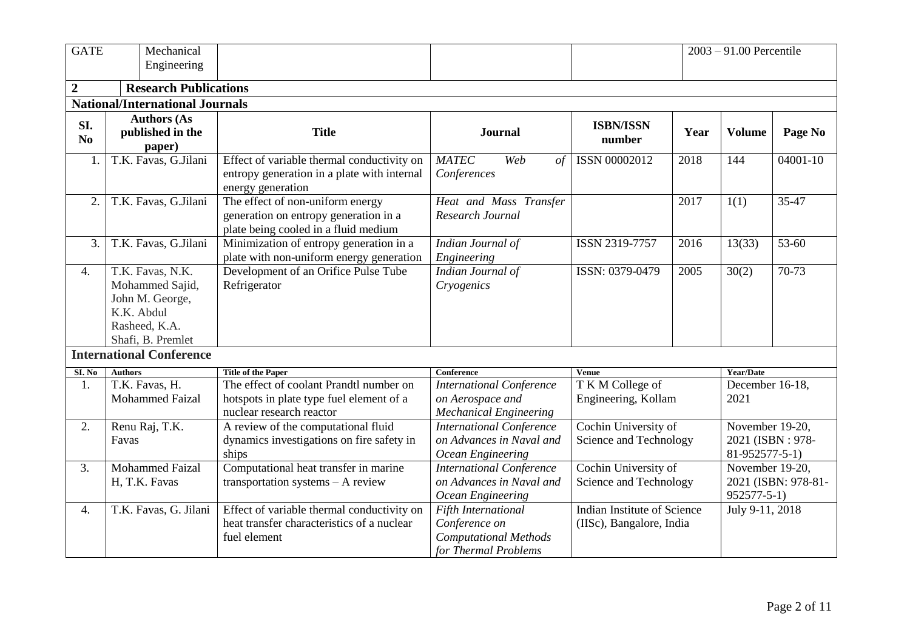| <b>GATE</b>      | Mechanical<br>Engineering                                                                                  |                                                                                                                   |                                                                                              |                                                         |      | $2003 - 91.00$ Percentile                             |                     |
|------------------|------------------------------------------------------------------------------------------------------------|-------------------------------------------------------------------------------------------------------------------|----------------------------------------------------------------------------------------------|---------------------------------------------------------|------|-------------------------------------------------------|---------------------|
| $\overline{2}$   | <b>Research Publications</b>                                                                               |                                                                                                                   |                                                                                              |                                                         |      |                                                       |                     |
|                  | <b>National/International Journals</b>                                                                     |                                                                                                                   |                                                                                              |                                                         |      |                                                       |                     |
| SI.<br>No        | <b>Authors (As</b><br>published in the<br>paper)                                                           | <b>Title</b>                                                                                                      | <b>Journal</b>                                                                               | <b>ISBN/ISSN</b><br>number                              | Year | <b>Volume</b>                                         | Page No             |
| 1.               | T.K. Favas, G.Jilani                                                                                       | Effect of variable thermal conductivity on<br>entropy generation in a plate with internal<br>energy generation    | <b>MATEC</b><br>Web<br>of<br>Conferences                                                     | ISSN 00002012                                           | 2018 | 144                                                   | 04001-10            |
| 2.               | T.K. Favas, G.Jilani                                                                                       | The effect of non-uniform energy<br>generation on entropy generation in a<br>plate being cooled in a fluid medium | Heat and Mass Transfer<br>Research Journal                                                   |                                                         | 2017 | 1(1)                                                  | 35-47               |
| 3.               | T.K. Favas, G.Jilani                                                                                       | Minimization of entropy generation in a<br>plate with non-uniform energy generation                               | Indian Journal of<br>Engineering                                                             | ISSN 2319-7757                                          | 2016 | 13(33)                                                | $53 - 60$           |
| 4.               | T.K. Favas, N.K.<br>Mohammed Sajid,<br>John M. George,<br>K.K. Abdul<br>Rasheed, K.A.<br>Shafi, B. Premlet | Development of an Orifice Pulse Tube<br>Refrigerator                                                              | Indian Journal of<br>Cryogenics                                                              | ISSN: 0379-0479                                         | 2005 | 30(2)                                                 | 70-73               |
|                  | <b>International Conference</b>                                                                            |                                                                                                                   |                                                                                              |                                                         |      |                                                       |                     |
| SI. No           | <b>Authors</b>                                                                                             | <b>Title of the Paper</b>                                                                                         | <b>Conference</b>                                                                            | <b>Venue</b>                                            |      | Year/Date                                             |                     |
| 1.               | T.K. Favas, H.<br><b>Mohammed Faizal</b>                                                                   | The effect of coolant Prandtl number on<br>hotspots in plate type fuel element of a<br>nuclear research reactor   | <b>International Conference</b><br>on Aerospace and<br><b>Mechanical Engineering</b>         | T K M College of<br>Engineering, Kollam                 |      | December 16-18,<br>2021                               |                     |
| 2.               | Renu Raj, T.K.<br>Favas                                                                                    | A review of the computational fluid<br>dynamics investigations on fire safety in<br>ships                         | <b>International Conference</b><br>on Advances in Naval and<br>Ocean Engineering             | Cochin University of<br>Science and Technology          |      | November 19-20,<br>2021 (ISBN: 978-<br>81-952577-5-1) |                     |
| 3.               | <b>Mohammed Faizal</b><br>H, T.K. Favas                                                                    | Computational heat transfer in marine<br>transportation systems - A review                                        | <b>International Conference</b><br>on Advances in Naval and<br>Ocean Engineering             | Cochin University of<br>Science and Technology          |      | November 19-20,<br>$952577 - 5 - 1)$                  | 2021 (ISBN: 978-81- |
| $\overline{4}$ . | T.K. Favas, G. Jilani                                                                                      | Effect of variable thermal conductivity on<br>heat transfer characteristics of a nuclear<br>fuel element          | Fifth International<br>Conference on<br><b>Computational Methods</b><br>for Thermal Problems | Indian Institute of Science<br>(IISc), Bangalore, India |      | July 9-11, 2018                                       |                     |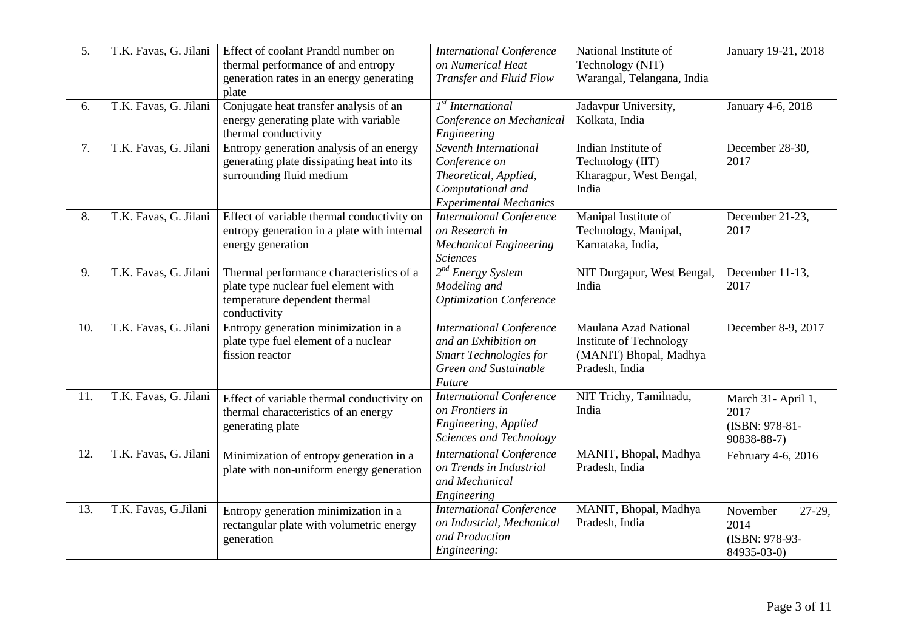| 5.  | T.K. Favas, G. Jilani | Effect of coolant Prandtl number on<br>thermal performance of and entropy<br>generation rates in an energy generating<br>plate    | <b>International Conference</b><br>on Numerical Heat<br>Transfer and Fluid Flow                                             | National Institute of<br>Technology (NIT)<br>Warangal, Telangana, India                      | January 19-21, 2018                                         |
|-----|-----------------------|-----------------------------------------------------------------------------------------------------------------------------------|-----------------------------------------------------------------------------------------------------------------------------|----------------------------------------------------------------------------------------------|-------------------------------------------------------------|
| 6.  | T.K. Favas, G. Jilani | Conjugate heat transfer analysis of an<br>energy generating plate with variable<br>thermal conductivity                           | 1 <sup>st</sup> International<br>Conference on Mechanical<br>Engineering                                                    | Jadavpur University,<br>Kolkata, India                                                       | January 4-6, 2018                                           |
| 7.  | T.K. Favas, G. Jilani | Entropy generation analysis of an energy<br>generating plate dissipating heat into its<br>surrounding fluid medium                | Seventh International<br>Conference on<br>Theoretical, Applied,<br>Computational and<br><b>Experimental Mechanics</b>       | Indian Institute of<br>Technology (IIT)<br>Kharagpur, West Bengal,<br>India                  | December 28-30,<br>2017                                     |
| 8.  | T.K. Favas, G. Jilani | Effect of variable thermal conductivity on<br>entropy generation in a plate with internal<br>energy generation                    | <b>International Conference</b><br>on Research in<br><b>Mechanical Engineering</b><br><b>Sciences</b>                       | Manipal Institute of<br>Technology, Manipal,<br>Karnataka, India,                            | December 21-23,<br>2017                                     |
| 9.  | T.K. Favas, G. Jilani | Thermal performance characteristics of a<br>plate type nuclear fuel element with<br>temperature dependent thermal<br>conductivity | $2^{nd}$ Energy System<br>Modeling and<br><b>Optimization Conference</b>                                                    | NIT Durgapur, West Bengal,<br>India                                                          | December 11-13,<br>2017                                     |
| 10. | T.K. Favas, G. Jilani | Entropy generation minimization in a<br>plate type fuel element of a nuclear<br>fission reactor                                   | <b>International Conference</b><br>and an Exhibition on<br><b>Smart Technologies for</b><br>Green and Sustainable<br>Future | Maulana Azad National<br>Institute of Technology<br>(MANIT) Bhopal, Madhya<br>Pradesh, India | December 8-9, 2017                                          |
| 11. | T.K. Favas, G. Jilani | Effect of variable thermal conductivity on<br>thermal characteristics of an energy<br>generating plate                            | <b>International Conference</b><br>on Frontiers in<br>Engineering, Applied<br>Sciences and Technology                       | NIT Trichy, Tamilnadu,<br>India                                                              | March 31- April 1,<br>2017<br>(ISBN: 978-81-<br>90838-88-7) |
| 12. | T.K. Favas, G. Jilani | Minimization of entropy generation in a<br>plate with non-uniform energy generation                                               | <b>International Conference</b><br>on Trends in Industrial<br>and Mechanical<br>Engineering                                 | MANIT, Bhopal, Madhya<br>Pradesh, India                                                      | February 4-6, 2016                                          |
| 13. | T.K. Favas, G.Jilani  | Entropy generation minimization in a<br>rectangular plate with volumetric energy<br>generation                                    | <b>International Conference</b><br>on Industrial, Mechanical<br>and Production<br>Engineering:                              | MANIT, Bhopal, Madhya<br>Pradesh, India                                                      | 27-29,<br>November<br>2014<br>(ISBN: 978-93-<br>84935-03-0) |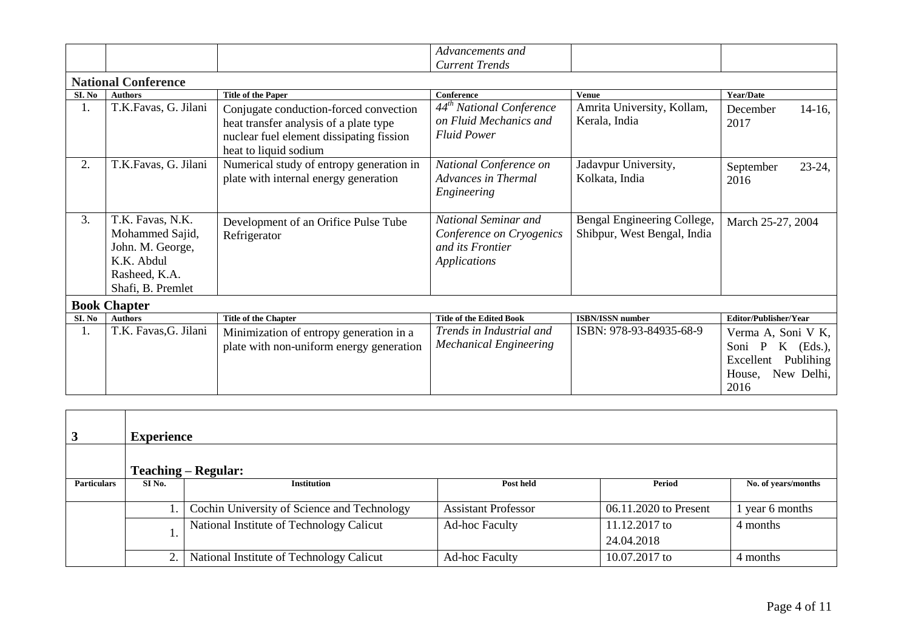|        |                                                                                                             |                                                                                                                                                       | Advancements and<br><b>Current Trends</b>                                            |                                                            |                                                                                                       |
|--------|-------------------------------------------------------------------------------------------------------------|-------------------------------------------------------------------------------------------------------------------------------------------------------|--------------------------------------------------------------------------------------|------------------------------------------------------------|-------------------------------------------------------------------------------------------------------|
|        | <b>National Conference</b>                                                                                  |                                                                                                                                                       |                                                                                      |                                                            |                                                                                                       |
| SI. No | <b>Authors</b>                                                                                              | <b>Title of the Paper</b>                                                                                                                             | <b>Conference</b>                                                                    | <b>Venue</b>                                               | Year/Date                                                                                             |
| 1.     | T.K.Favas, G. Jilani                                                                                        | Conjugate conduction-forced convection<br>heat transfer analysis of a plate type<br>nuclear fuel element dissipating fission<br>heat to liquid sodium | 44 <sup>th</sup> National Conference<br>on Fluid Mechanics and<br><b>Fluid Power</b> | Amrita University, Kollam,<br>Kerala, India                | $14-16$ ,<br>December<br>2017                                                                         |
| 2.     | T.K.Favas, G. Jilani                                                                                        | Numerical study of entropy generation in<br>plate with internal energy generation                                                                     | National Conference on<br>Advances in Thermal<br>Engineering                         | Jadavpur University,<br>Kolkata, India                     | $23-24,$<br>September<br>2016                                                                         |
| 3.     | T.K. Favas, N.K.<br>Mohammed Sajid,<br>John. M. George,<br>K.K. Abdul<br>Rasheed, K.A.<br>Shafi, B. Premlet | Development of an Orifice Pulse Tube<br>Refrigerator                                                                                                  | National Seminar and<br>Conference on Cryogenics<br>and its Frontier<br>Applications | Bengal Engineering College,<br>Shibpur, West Bengal, India | March 25-27, 2004                                                                                     |
|        | <b>Book Chapter</b>                                                                                         |                                                                                                                                                       |                                                                                      |                                                            |                                                                                                       |
| SI. No | <b>Authors</b>                                                                                              | <b>Title of the Chapter</b>                                                                                                                           | <b>Title of the Edited Book</b>                                                      | <b>ISBN/ISSN number</b>                                    | Editor/Publisher/Year                                                                                 |
| 1.     | T.K. Favas, G. Jilani                                                                                       | Minimization of entropy generation in a<br>plate with non-uniform energy generation                                                                   | Trends in Industrial and<br><b>Mechanical Engineering</b>                            | ISBN: 978-93-84935-68-9                                    | Verma A, Soni V K,<br>$K$ (Eds.),<br>Soni P<br>Publihing<br>Excellent<br>New Delhi,<br>House,<br>2016 |

|                    | <b>Experience</b> |                                             |                            |                       |                     |
|--------------------|-------------------|---------------------------------------------|----------------------------|-----------------------|---------------------|
|                    |                   | <b>Teaching – Regular:</b>                  |                            |                       |                     |
| <b>Particulars</b> | SI <sub>No.</sub> | <b>Institution</b>                          | Post held                  | Period                | No. of years/months |
|                    |                   |                                             |                            |                       |                     |
|                    |                   | Cochin University of Science and Technology | <b>Assistant Professor</b> | 06.11.2020 to Present | l year 6 months     |
|                    |                   | National Institute of Technology Calicut    | <b>Ad-hoc Faculty</b>      | 11.12.2017 to         | 4 months            |
|                    |                   |                                             |                            | 24.04.2018            |                     |
|                    | 2.                | National Institute of Technology Calicut    | <b>Ad-hoc Faculty</b>      | 10.07.2017 to         | 4 months            |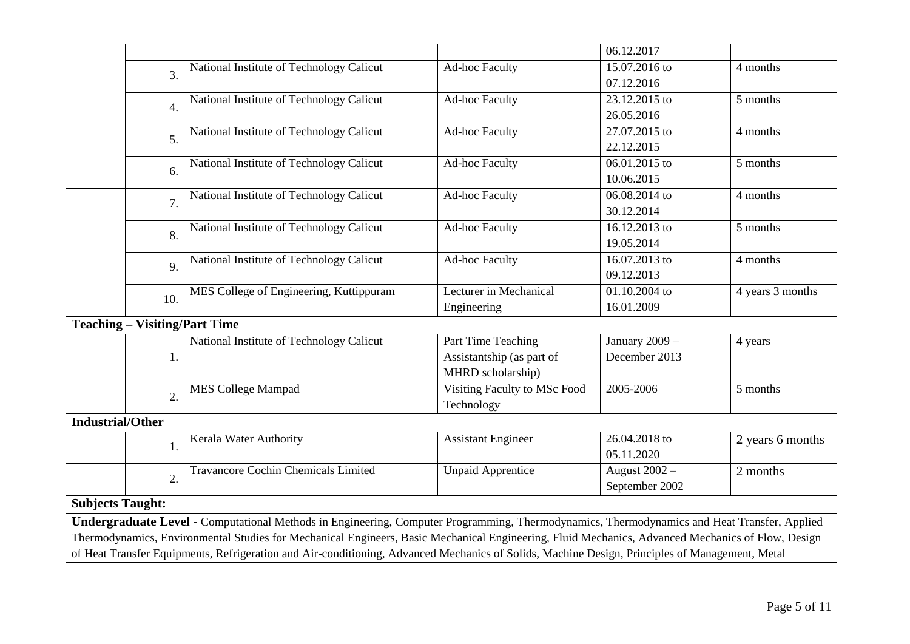|                         |                                                                                                                                                |                                                                                                                                                   |                              | 06.12.2017     |                  |  |
|-------------------------|------------------------------------------------------------------------------------------------------------------------------------------------|---------------------------------------------------------------------------------------------------------------------------------------------------|------------------------------|----------------|------------------|--|
|                         | 3.                                                                                                                                             | National Institute of Technology Calicut                                                                                                          | <b>Ad-hoc Faculty</b>        | 15.07.2016 to  | 4 months         |  |
|                         |                                                                                                                                                |                                                                                                                                                   |                              | 07.12.2016     |                  |  |
|                         | 4.                                                                                                                                             | National Institute of Technology Calicut                                                                                                          | <b>Ad-hoc Faculty</b>        | 23.12.2015 to  | 5 months         |  |
|                         |                                                                                                                                                |                                                                                                                                                   |                              | 26.05.2016     |                  |  |
|                         | 5.                                                                                                                                             | National Institute of Technology Calicut                                                                                                          | <b>Ad-hoc Faculty</b>        | 27.07.2015 to  | 4 months         |  |
|                         |                                                                                                                                                |                                                                                                                                                   |                              | 22.12.2015     |                  |  |
|                         | 6.                                                                                                                                             | National Institute of Technology Calicut                                                                                                          | <b>Ad-hoc Faculty</b>        | 06.01.2015 to  | 5 months         |  |
|                         |                                                                                                                                                |                                                                                                                                                   |                              | 10.06.2015     |                  |  |
|                         | 7.                                                                                                                                             | National Institute of Technology Calicut                                                                                                          | <b>Ad-hoc Faculty</b>        | 06.08.2014 to  | 4 months         |  |
|                         |                                                                                                                                                |                                                                                                                                                   |                              | 30.12.2014     |                  |  |
|                         | 8.                                                                                                                                             | National Institute of Technology Calicut                                                                                                          | <b>Ad-hoc Faculty</b>        | 16.12.2013 to  | 5 months         |  |
|                         |                                                                                                                                                |                                                                                                                                                   |                              | 19.05.2014     |                  |  |
|                         | 9.                                                                                                                                             | National Institute of Technology Calicut                                                                                                          | <b>Ad-hoc Faculty</b>        | 16.07.2013 to  | 4 months         |  |
|                         |                                                                                                                                                |                                                                                                                                                   |                              | 09.12.2013     |                  |  |
|                         | 10.                                                                                                                                            | MES College of Engineering, Kuttippuram                                                                                                           | Lecturer in Mechanical       | 01.10.2004 to  | 4 years 3 months |  |
|                         |                                                                                                                                                |                                                                                                                                                   | Engineering                  | 16.01.2009     |                  |  |
|                         | <b>Teaching – Visiting/Part Time</b>                                                                                                           |                                                                                                                                                   |                              |                |                  |  |
|                         |                                                                                                                                                | National Institute of Technology Calicut                                                                                                          | Part Time Teaching           | January 2009 - | 4 years          |  |
|                         | 1.                                                                                                                                             |                                                                                                                                                   | Assistantship (as part of    | December 2013  |                  |  |
|                         |                                                                                                                                                |                                                                                                                                                   | MHRD scholarship)            |                |                  |  |
|                         | $\overline{2}$ .                                                                                                                               | <b>MES College Mampad</b>                                                                                                                         | Visiting Faculty to MSc Food | 2005-2006      | 5 months         |  |
|                         |                                                                                                                                                |                                                                                                                                                   | Technology                   |                |                  |  |
| <b>Industrial/Other</b> |                                                                                                                                                |                                                                                                                                                   |                              |                |                  |  |
|                         | 1.                                                                                                                                             | Kerala Water Authority                                                                                                                            | <b>Assistant Engineer</b>    | 26.04.2018 to  | 2 years 6 months |  |
|                         |                                                                                                                                                |                                                                                                                                                   |                              | 05.11.2020     |                  |  |
|                         | $\overline{2}$ .                                                                                                                               | Travancore Cochin Chemicals Limited                                                                                                               | <b>Unpaid Apprentice</b>     | August 2002 -  | 2 months         |  |
|                         |                                                                                                                                                |                                                                                                                                                   |                              | September 2002 |                  |  |
| <b>Subjects Taught:</b> |                                                                                                                                                |                                                                                                                                                   |                              |                |                  |  |
|                         |                                                                                                                                                | Undergraduate Level - Computational Methods in Engineering, Computer Programming, Thermodynamics, Thermodynamics and Heat Transfer, Applied       |                              |                |                  |  |
|                         |                                                                                                                                                | Thermodynamics, Environmental Studies for Mechanical Engineers, Basic Mechanical Engineering, Fluid Mechanics, Advanced Mechanics of Flow, Design |                              |                |                  |  |
|                         | of Heat Transfer Equipments, Refrigeration and Air-conditioning, Advanced Mechanics of Solids, Machine Design, Principles of Management, Metal |                                                                                                                                                   |                              |                |                  |  |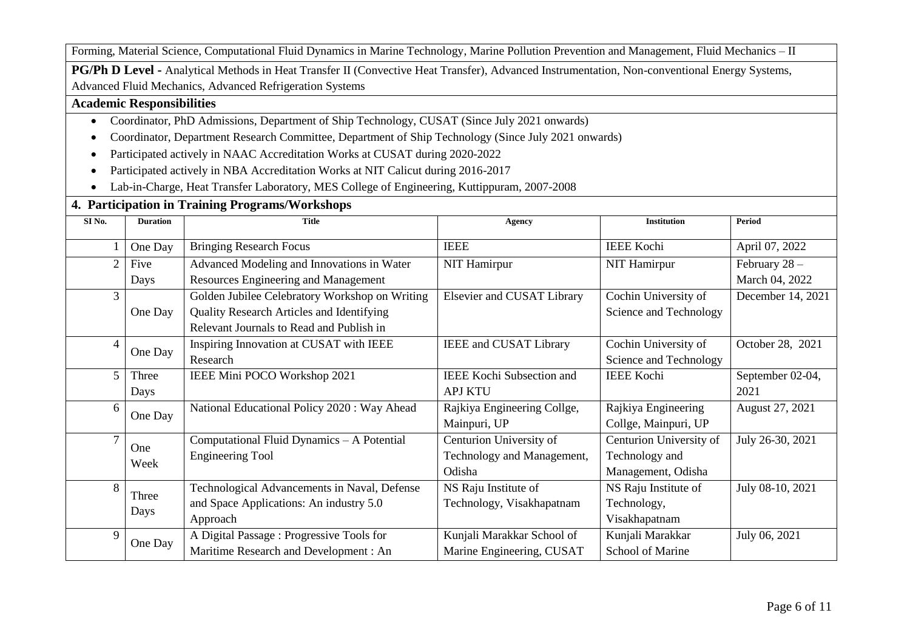Forming, Material Science, Computational Fluid Dynamics in Marine Technology, Marine Pollution Prevention and Management, Fluid Mechanics – II

**PG/Ph D Level -** Analytical Methods in Heat Transfer II (Convective Heat Transfer), Advanced Instrumentation, Non-conventional Energy Systems, Advanced Fluid Mechanics, Advanced Refrigeration Systems

#### **Academic Responsibilities**

- Coordinator, PhD Admissions, Department of Ship Technology, CUSAT (Since July 2021 onwards)
- Coordinator, Department Research Committee, Department of Ship Technology (Since July 2021 onwards)
- Participated actively in NAAC Accreditation Works at CUSAT during 2020-2022
- Participated actively in NBA Accreditation Works at NIT Calicut during 2016-2017
- Lab-in-Charge, Heat Transfer Laboratory, MES College of Engineering, Kuttippuram, 2007-2008

## **4. Participation in Training Programs/Workshops**

| SI <sub>No.</sub> | <b>Duration</b> | <b>Title</b>                                   | <b>Agency</b>                    | <b>Institution</b>      | Period            |
|-------------------|-----------------|------------------------------------------------|----------------------------------|-------------------------|-------------------|
|                   | One Day         | <b>Bringing Research Focus</b>                 | <b>IEEE</b>                      | <b>IEEE Kochi</b>       | April 07, 2022    |
| $\overline{c}$    | Five            | Advanced Modeling and Innovations in Water     | NIT Hamirpur                     | <b>NIT Hamirpur</b>     | February $28 -$   |
|                   | Days            | Resources Engineering and Management           |                                  |                         | March 04, 2022    |
| $\overline{3}$    |                 | Golden Jubilee Celebratory Workshop on Writing | Elsevier and CUSAT Library       | Cochin University of    | December 14, 2021 |
|                   | One Day         | Quality Research Articles and Identifying      |                                  | Science and Technology  |                   |
|                   |                 | Relevant Journals to Read and Publish in       |                                  |                         |                   |
| 4                 | One Day         | Inspiring Innovation at CUSAT with IEEE        | <b>IEEE</b> and CUSAT Library    | Cochin University of    | October 28, 2021  |
|                   |                 | Research                                       |                                  | Science and Technology  |                   |
| 5                 | Three           | IEEE Mini POCO Workshop 2021                   | <b>IEEE Kochi Subsection and</b> | <b>IEEE Kochi</b>       | September 02-04,  |
|                   | Days            |                                                | <b>APJ KTU</b>                   |                         | 2021              |
| 6                 | One Day         | National Educational Policy 2020 : Way Ahead   | Rajkiya Engineering Collge,      | Rajkiya Engineering     | August 27, 2021   |
|                   |                 |                                                | Mainpuri, UP                     | Collge, Mainpuri, UP    |                   |
| 7                 | One             | Computational Fluid Dynamics - A Potential     | Centurion University of          | Centurion University of | July 26-30, 2021  |
|                   | Week            | <b>Engineering Tool</b>                        | Technology and Management,       | Technology and          |                   |
|                   |                 |                                                | Odisha                           | Management, Odisha      |                   |
| 8                 | Three           | Technological Advancements in Naval, Defense   | NS Raju Institute of             | NS Raju Institute of    | July 08-10, 2021  |
|                   |                 | and Space Applications: An industry 5.0        | Technology, Visakhapatnam        | Technology,             |                   |
|                   | Days            | Approach                                       |                                  | Visakhapatnam           |                   |
| 9                 | One Day         | A Digital Passage: Progressive Tools for       | Kunjali Marakkar School of       | Kunjali Marakkar        | July 06, 2021     |
|                   |                 | Maritime Research and Development: An          | Marine Engineering, CUSAT        | School of Marine        |                   |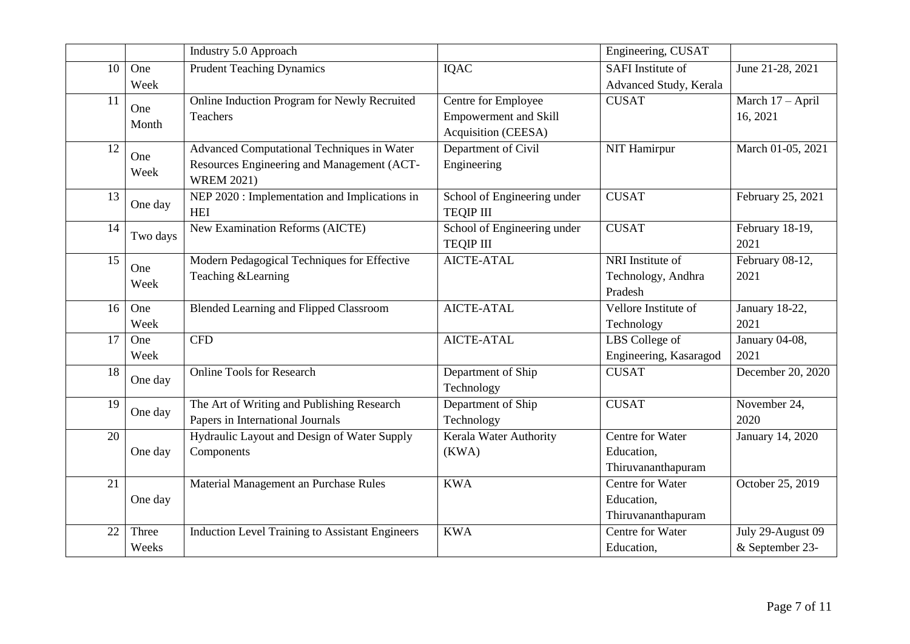|    |          | Industry 5.0 Approach                                  |                              | Engineering, CUSAT     |                   |
|----|----------|--------------------------------------------------------|------------------------------|------------------------|-------------------|
| 10 | One      | <b>Prudent Teaching Dynamics</b>                       | <b>IQAC</b>                  | SAFI Institute of      | June 21-28, 2021  |
|    | Week     |                                                        |                              | Advanced Study, Kerala |                   |
| 11 | One      | Online Induction Program for Newly Recruited           | Centre for Employee          | <b>CUSAT</b>           | March 17 - April  |
|    | Month    | <b>Teachers</b>                                        | <b>Empowerment and Skill</b> |                        | 16, 2021          |
|    |          |                                                        | Acquisition (CEESA)          |                        |                   |
| 12 | One      | <b>Advanced Computational Techniques in Water</b>      | Department of Civil          | <b>NIT Hamirpur</b>    | March 01-05, 2021 |
|    | Week     | Resources Engineering and Management (ACT-             | Engineering                  |                        |                   |
|    |          | <b>WREM 2021)</b>                                      |                              |                        |                   |
| 13 |          | NEP 2020 : Implementation and Implications in          | School of Engineering under  | <b>CUSAT</b>           | February 25, 2021 |
|    | One day  | <b>HEI</b>                                             | <b>TEQIP III</b>             |                        |                   |
| 14 | Two days | New Examination Reforms (AICTE)                        | School of Engineering under  | <b>CUSAT</b>           | February 18-19,   |
|    |          |                                                        | <b>TEQIP III</b>             |                        | 2021              |
| 15 | One      | Modern Pedagogical Techniques for Effective            | <b>AICTE-ATAL</b>            | NRI Institute of       | February 08-12,   |
|    | Week     | Teaching & Learning                                    |                              | Technology, Andhra     | 2021              |
|    |          |                                                        |                              | Pradesh                |                   |
| 16 | One      | <b>Blended Learning and Flipped Classroom</b>          | <b>AICTE-ATAL</b>            | Vellore Institute of   | January 18-22,    |
|    | Week     |                                                        |                              | Technology             | 2021              |
| 17 | One      | <b>CFD</b>                                             | <b>AICTE-ATAL</b>            | LBS College of         | January 04-08,    |
|    | Week     |                                                        |                              | Engineering, Kasaragod | 2021              |
| 18 | One day  | <b>Online Tools for Research</b>                       | Department of Ship           | <b>CUSAT</b>           | December 20, 2020 |
|    |          |                                                        | Technology                   |                        |                   |
| 19 | One day  | The Art of Writing and Publishing Research             | Department of Ship           | <b>CUSAT</b>           | November 24,      |
|    |          | Papers in International Journals                       | Technology                   |                        | 2020              |
| 20 |          | Hydraulic Layout and Design of Water Supply            | Kerala Water Authority       | Centre for Water       | January 14, 2020  |
|    | One day  | Components                                             | (KWA)                        | Education,             |                   |
|    |          |                                                        |                              | Thiruvananthapuram     |                   |
| 21 |          | Material Management an Purchase Rules                  | <b>KWA</b>                   | Centre for Water       | October 25, 2019  |
|    | One day  |                                                        |                              | Education,             |                   |
|    |          |                                                        |                              | Thiruvananthapuram     |                   |
| 22 | Three    | <b>Induction Level Training to Assistant Engineers</b> | <b>KWA</b>                   | Centre for Water       | July 29-August 09 |
|    | Weeks    |                                                        |                              | Education,             | & September 23-   |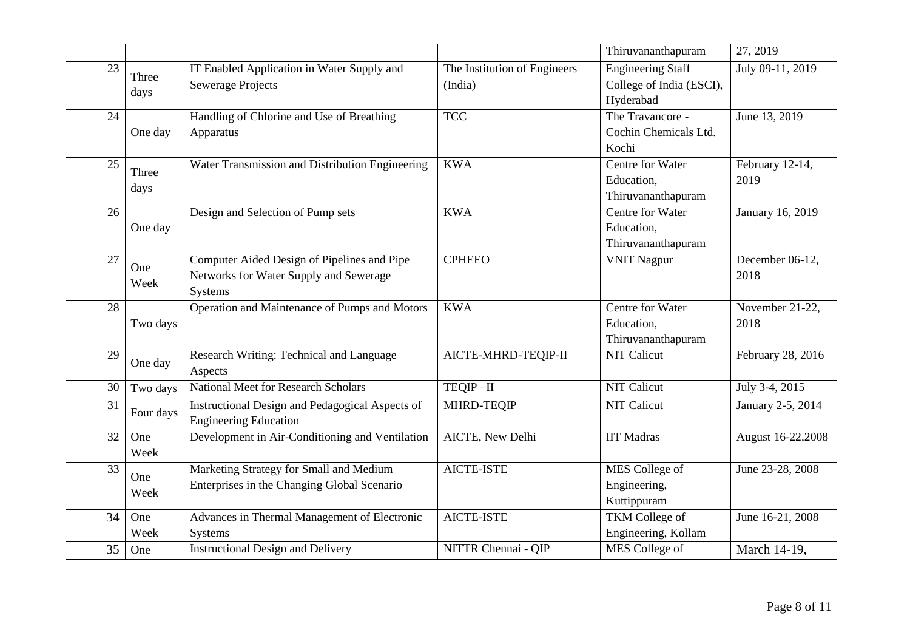|    |               |                                                                                                         |                                         | Thiruvananthapuram                                                | 27, 2019                |
|----|---------------|---------------------------------------------------------------------------------------------------------|-----------------------------------------|-------------------------------------------------------------------|-------------------------|
| 23 | Three<br>days | IT Enabled Application in Water Supply and<br><b>Sewerage Projects</b>                                  | The Institution of Engineers<br>(India) | <b>Engineering Staff</b><br>College of India (ESCI),<br>Hyderabad | July 09-11, 2019        |
| 24 | One day       | Handling of Chlorine and Use of Breathing<br>Apparatus                                                  | <b>TCC</b>                              | The Travancore -<br>Cochin Chemicals Ltd.<br>Kochi                | June 13, 2019           |
| 25 | Three<br>days | Water Transmission and Distribution Engineering                                                         | <b>KWA</b>                              | Centre for Water<br>Education,<br>Thiruvananthapuram              | February 12-14,<br>2019 |
| 26 | One day       | Design and Selection of Pump sets                                                                       | <b>KWA</b>                              | Centre for Water<br>Education,<br>Thiruvananthapuram              | January 16, 2019        |
| 27 | One<br>Week   | Computer Aided Design of Pipelines and Pipe<br>Networks for Water Supply and Sewerage<br><b>Systems</b> | <b>CPHEEO</b>                           | <b>VNIT Nagpur</b>                                                | December 06-12,<br>2018 |
| 28 | Two days      | Operation and Maintenance of Pumps and Motors                                                           | <b>KWA</b>                              | Centre for Water<br>Education,<br>Thiruvananthapuram              | November 21-22,<br>2018 |
| 29 | One day       | Research Writing: Technical and Language<br>Aspects                                                     | AICTE-MHRD-TEQIP-II                     | <b>NIT Calicut</b>                                                | February 28, 2016       |
| 30 | Two days      | <b>National Meet for Research Scholars</b>                                                              | TEQIP-II                                | <b>NIT Calicut</b>                                                | July 3-4, 2015          |
| 31 | Four days     | <b>Instructional Design and Pedagogical Aspects of</b><br><b>Engineering Education</b>                  | MHRD-TEQIP                              | <b>NIT Calicut</b>                                                | January 2-5, 2014       |
| 32 | One<br>Week   | Development in Air-Conditioning and Ventilation                                                         | <b>AICTE, New Delhi</b>                 | <b>IIT Madras</b>                                                 | August 16-22,2008       |
| 33 | One<br>Week   | Marketing Strategy for Small and Medium<br>Enterprises in the Changing Global Scenario                  | AICTE-ISTE                              | MES College of<br>Engineering,<br>Kuttippuram                     | June 23-28, 2008        |
| 34 | One<br>Week   | Advances in Thermal Management of Electronic<br><b>Systems</b>                                          | <b>AICTE-ISTE</b>                       | TKM College of<br>Engineering, Kollam                             | June 16-21, 2008        |
| 35 | One           | <b>Instructional Design and Delivery</b>                                                                | NITTR Chennai - QIP                     | MES College of                                                    | March 14-19,            |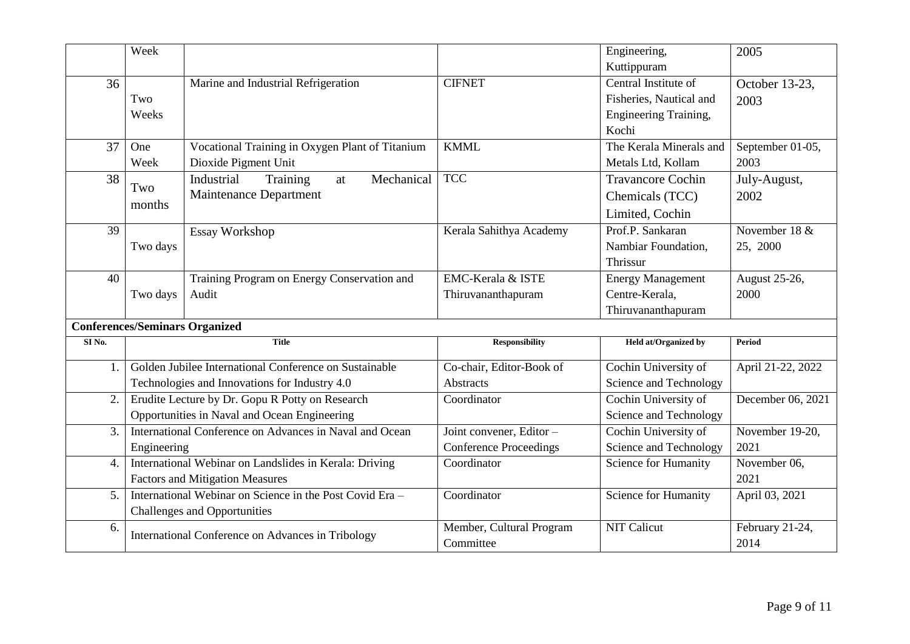|                | Week                                                   |                                                          |                               | Engineering,                | 2005              |
|----------------|--------------------------------------------------------|----------------------------------------------------------|-------------------------------|-----------------------------|-------------------|
|                |                                                        |                                                          |                               | Kuttippuram                 |                   |
| 36             |                                                        | Marine and Industrial Refrigeration                      | <b>CIFNET</b>                 | Central Institute of        | October 13-23.    |
|                | Two                                                    |                                                          |                               | Fisheries, Nautical and     | 2003              |
|                | Weeks                                                  |                                                          |                               | Engineering Training,       |                   |
|                |                                                        |                                                          |                               | Kochi                       |                   |
| 37             | One                                                    | Vocational Training in Oxygen Plant of Titanium          | <b>KMML</b>                   | The Kerala Minerals and     | September 01-05,  |
|                | Week                                                   | Dioxide Pigment Unit                                     |                               | Metals Ltd, Kollam          | 2003              |
| 38             | Two                                                    | Industrial<br>Training<br>Mechanical<br>at               | <b>TCC</b>                    | <b>Travancore Cochin</b>    | July-August,      |
|                |                                                        | <b>Maintenance Department</b>                            |                               | Chemicals (TCC)             | 2002              |
|                | months                                                 |                                                          |                               | Limited, Cochin             |                   |
| 39             |                                                        | <b>Essay Workshop</b>                                    | Kerala Sahithya Academy       | Prof.P. Sankaran            | November 18 &     |
|                | Two days                                               |                                                          |                               | Nambiar Foundation,         | 25, 2000          |
|                |                                                        |                                                          |                               | Thrissur                    |                   |
| 40             |                                                        | Training Program on Energy Conservation and              | EMC-Kerala & ISTE             | <b>Energy Management</b>    | August 25-26,     |
|                | Two days                                               | Audit                                                    | Thiruvananthapuram            | Centre-Kerala,              | 2000              |
|                |                                                        |                                                          |                               | Thiruvananthapuram          |                   |
|                |                                                        | <b>Conferences/Seminars Organized</b>                    |                               |                             |                   |
| SI No.         |                                                        | <b>Title</b>                                             | <b>Responsibility</b>         | Held at/Organized by        | <b>Period</b>     |
| 1.             |                                                        | Golden Jubilee International Conference on Sustainable   | Co-chair, Editor-Book of      | Cochin University of        | April 21-22, 2022 |
|                |                                                        | Technologies and Innovations for Industry 4.0            | Abstracts                     | Science and Technology      |                   |
| 2.             |                                                        | Erudite Lecture by Dr. Gopu R Potty on Research          | Coordinator                   | Cochin University of        | December 06, 2021 |
|                |                                                        | Opportunities in Naval and Ocean Engineering             |                               | Science and Technology      |                   |
| 3.             |                                                        | International Conference on Advances in Naval and Ocean  | Joint convener, Editor-       | Cochin University of        | November 19-20,   |
|                | Engineering                                            |                                                          | <b>Conference Proceedings</b> | Science and Technology      | 2021              |
| 4.             | International Webinar on Landslides in Kerala: Driving |                                                          | Coordinator                   | Science for Humanity        | November 06,      |
|                | <b>Factors and Mitigation Measures</b>                 |                                                          |                               |                             | 2021              |
| 5 <sub>1</sub> |                                                        | International Webinar on Science in the Post Covid Era - | Coordinator                   | <b>Science for Humanity</b> | April 03, 2021    |
|                |                                                        | <b>Challenges and Opportunities</b>                      |                               |                             |                   |
| 6.             |                                                        | International Conference on Advances in Tribology        | Member, Cultural Program      | <b>NIT Calicut</b>          | February 21-24,   |
|                |                                                        |                                                          | Committee                     |                             | 2014              |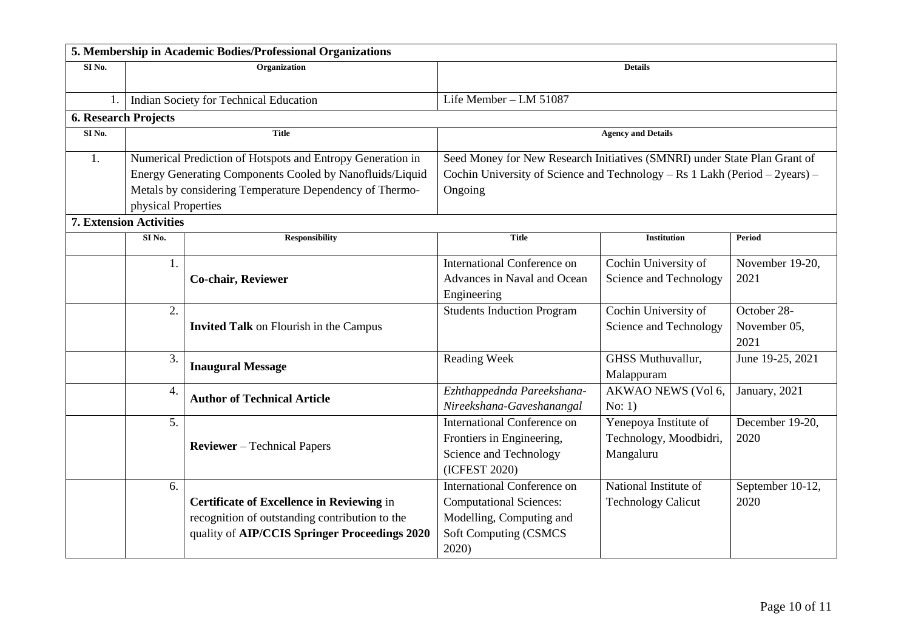|                   |                                | 5. Membership in Academic Bodies/Professional Organizations |                                                                             |                           |                  |  |
|-------------------|--------------------------------|-------------------------------------------------------------|-----------------------------------------------------------------------------|---------------------------|------------------|--|
| SI <sub>No.</sub> | Organization<br><b>Details</b> |                                                             |                                                                             |                           |                  |  |
|                   |                                |                                                             |                                                                             |                           |                  |  |
|                   |                                | Indian Society for Technical Education                      | Life Member - LM 51087                                                      |                           |                  |  |
|                   | <b>6. Research Projects</b>    |                                                             |                                                                             |                           |                  |  |
| SI <sub>No.</sub> |                                | <b>Title</b>                                                |                                                                             | <b>Agency and Details</b> |                  |  |
| 1.                |                                | Numerical Prediction of Hotspots and Entropy Generation in  | Seed Money for New Research Initiatives (SMNRI) under State Plan Grant of   |                           |                  |  |
|                   |                                | Energy Generating Components Cooled by Nanofluids/Liquid    | Cochin University of Science and Technology – Rs 1 Lakh (Period – 2years) – |                           |                  |  |
|                   |                                | Metals by considering Temperature Dependency of Thermo-     | Ongoing                                                                     |                           |                  |  |
|                   | physical Properties            |                                                             |                                                                             |                           |                  |  |
|                   | <b>7. Extension Activities</b> |                                                             |                                                                             |                           |                  |  |
|                   | SINo.                          | <b>Responsibility</b>                                       | <b>Title</b>                                                                | <b>Institution</b>        | <b>Period</b>    |  |
|                   | 1.                             |                                                             | <b>International Conference on</b>                                          | Cochin University of      | November 19-20,  |  |
|                   |                                | <b>Co-chair, Reviewer</b>                                   | Advances in Naval and Ocean                                                 | Science and Technology    | 2021             |  |
|                   |                                |                                                             | Engineering                                                                 |                           |                  |  |
|                   | 2.                             |                                                             | <b>Students Induction Program</b>                                           | Cochin University of      | October 28-      |  |
|                   |                                | <b>Invited Talk on Flourish in the Campus</b>               |                                                                             | Science and Technology    | November 05,     |  |
|                   |                                |                                                             |                                                                             |                           | 2021             |  |
|                   | 3.                             | <b>Inaugural Message</b>                                    | Reading Week                                                                | <b>GHSS Muthuvallur,</b>  | June 19-25, 2021 |  |
|                   |                                |                                                             |                                                                             | Malappuram                |                  |  |
|                   | 4.                             | <b>Author of Technical Article</b>                          | Ezhthappednda Pareekshana-                                                  | AKWAO NEWS (Vol 6,        | January, 2021    |  |
|                   |                                |                                                             | Nireekshana-Gaveshanangal                                                   | No: 1)                    |                  |  |
|                   | 5.                             |                                                             | <b>International Conference on</b>                                          | Yenepoya Institute of     | December 19-20,  |  |
|                   |                                | <b>Reviewer</b> – Technical Papers                          | Frontiers in Engineering,                                                   | Technology, Moodbidri,    | 2020             |  |
|                   |                                |                                                             | Science and Technology                                                      | Mangaluru                 |                  |  |
|                   |                                |                                                             | (ICFEST 2020)                                                               |                           |                  |  |
|                   | 6.                             |                                                             | International Conference on                                                 | National Institute of     | September 10-12, |  |
|                   |                                | Certificate of Excellence in Reviewing in                   | <b>Computational Sciences:</b>                                              | <b>Technology Calicut</b> | 2020             |  |
|                   |                                | recognition of outstanding contribution to the              | Modelling, Computing and                                                    |                           |                  |  |
|                   |                                | quality of AIP/CCIS Springer Proceedings 2020               | <b>Soft Computing (CSMCS</b>                                                |                           |                  |  |
|                   |                                |                                                             | 2020)                                                                       |                           |                  |  |